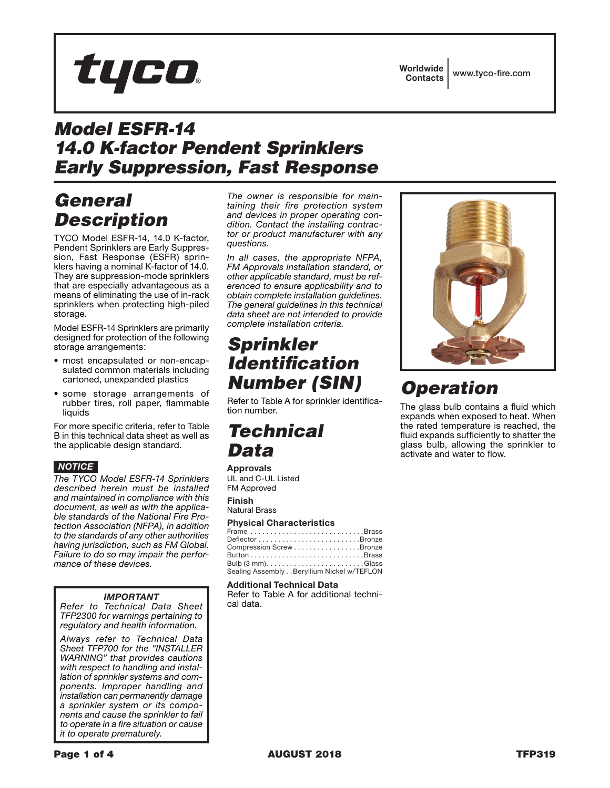**Worldwide** Contacts www.tyco-fire.com

# *Model ESFR-14 14.0 K-factor Pendent Sprinklers Early Suppression, Fast Response*

# *General Description*

TYCO Model ESFR-14, 14.0 K-factor, Pendent Sprinklers are Early Suppression, Fast Response (ESFR) sprinklers having a nominal K-factor of 14.0. They are suppression-mode sprinklers that are especially advantageous as a means of eliminating the use of in-rack sprinklers when protecting high-piled storage.

tyco.

Model ESFR-14 Sprinklers are primarily designed for protection of the following storage arrangements:

- most encapsulated or non-encapsulated common materials including cartoned, unexpanded plastics
- some storage arrangements of rubber tires, roll paper, flammable liquids

For more specific criteria, refer to Table B in this technical data sheet as well as the applicable design standard.

### *NOTICE*

*The TYCO Model ESFR-14 Sprinklers described herein must be installed and maintained in compliance with this document, as well as with the applicable standards of the National Fire Protection Association (NFPA), in addition to the standards of any other authorities having jurisdiction, such as FM Global. Failure to do so may impair the performance of these devices.*

### *IMPORTANT*

*Refer to Technical Data Sheet TFP2300 for warnings pertaining to regulatory and health information.*

*Always refer to Technical Data Sheet TFP700 for the "INSTALLER WARNING" that provides cautions with respect to handling and installation of sprinkler systems and components. Improper handling and installation can permanently damage a sprinkler system or its components and cause the sprinkler to fail to operate in a fire situation or cause it to operate prematurely.*

*The owner is responsible for maintaining their fire protection system and devices in proper operating condition. Contact the installing contractor or product manufacturer with any questions.*

*In all cases, the appropriate NFPA, FM Approvals installation standard, or other applicable standard, must be referenced to ensure applicability and to obtain complete installation guidelines. The general guidelines in this technical data sheet are not intended to provide complete installation criteria.*

# *Sprinkler Identification Number (SIN)*

Refer to Table A for sprinkler identification number.

# *Technical Data*

### **Approvals**

UL and C-UL Listed FM Approved **Finish**

Natural Brass

### **Physical Characteristics**

| Frame Brass                                |  |
|--------------------------------------------|--|
|                                            |  |
| Compression ScrewBronze                    |  |
|                                            |  |
|                                            |  |
| Sealing Assembly Beryllium Nickel w/TEFLON |  |

### Additional Technical Data

Refer to Table A for additional technical data.



# *Operation*

The glass bulb contains a fluid which expands when exposed to heat. When the rated temperature is reached, the fluid expands sufficiently to shatter the glass bulb, allowing the sprinkler to activate and water to flow.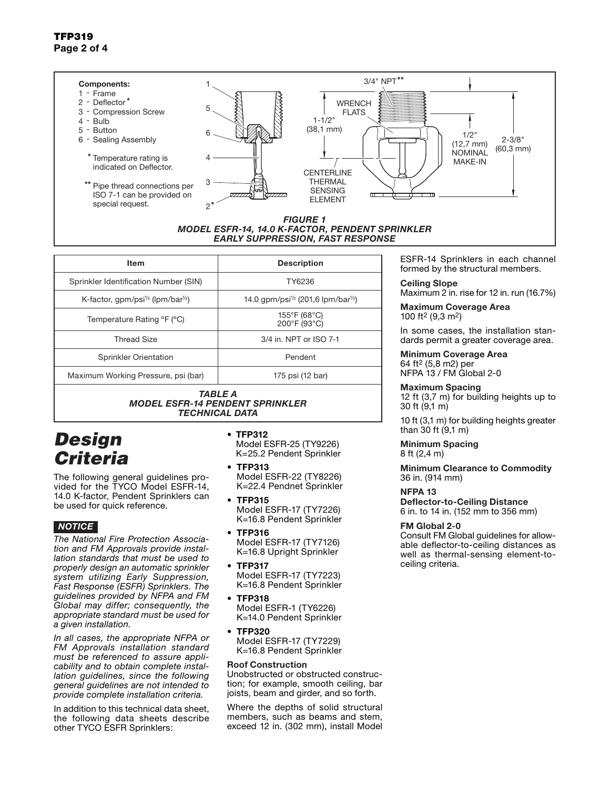#### 3/4" NPT\*\* Components: 1 1 - Frame 2 - Deflector\* **WRENCH** 5 3 - Compression Screw FLATS  $1 - 1/2$ 4 - Bulb (38,1 mm) 5 - Button 6  $1/2$ " 6 - Sealing Assembly 2-3/8" (12,7 mm) (60,3 mm) **NOMINAL** \* Temperature rating is 4 MAKE-IN indicated on Deflector. **CENTERLINE** THERMAL 3 \*\* Pipe thread connections per SENSING ISO 7-1 can be provided on  $\bigtriangledown$  $\Box$  $\overline{\phantom{0}}$ ELEMENT special request. \* 2 *FIGURE 1 MODEL ESFR-14, 14.0 K-FACTOR, PENDENT SPRINKLER*

Item **Description** Sprinkler Identification Number (SIN) | TY6236 K-factor, gpm/psi<sup> $\frac{1}{2}$ </sup> (lpm/bar<sup> $\frac{1}{2}$ </sup>) 14.0 gpm/psi<sup> $\frac{1}{2}$ </sup> (201,6 lpm/bar<sup> $\frac{1}{2}$ </sup>) Temperature Rating °F (°C) 155°F (68°C)<br>200°F (93°C) Thread Size 3/4 in. NPT or ISO 7-1 Sprinkler Orientation **Pendent** *EARLY SUPPRESSION, FAST RESPONSE* 

Maximum Working Pressure, psi (bar) 175 psi (12 bar)

*TABLE A MODEL ESFR-14 PENDENT SPRINKLER TECHNICAL DATA*

# *Design Criteria*

The following general guidelines provided for the TYCO Model ESFR-14, 14.0 K-factor, Pendent Sprinklers can be used for quick reference.

## *NOTICE*

*The National Fire Protection Association and FM Approvals provide installation standards that must be used to properly design an automatic sprinkler system utilizing Early Suppression, Fast Response (ESFR) Sprinklers. The guidelines provided by NFPA and FM Global may differ; consequently, the appropriate standard must be used for a given installation.*

*In all cases, the appropriate NFPA or FM Approvals installation standard must be referenced to assure applicability and to obtain complete installation guidelines, since the following general guidelines are not intended to provide complete installation criteria.*

In addition to this technical data sheet, the following data sheets describe other TYCO ESFR Sprinklers:

- TFP312 Model ESFR-25 (TY9226) K=25.2 Pendent Sprinkler
- TFP313 Model ESFR-22 (TY8226) K=22.4 Pendnet Sprinkler
- TFP315 Model ESFR-17 (TY7226) K=16.8 Pendent Sprinkler
- TFP316 Model ESFR-17 (TY7126) K=16.8 Upright Sprinkler
- TFP317 Model ESFR-17 (TY7223) K=16.8 Pendent Sprinkler
- TFP318 Model ESFR-1 (TY6226) K=14.0 Pendent Sprinkler
- TFP320 Model ESFR-17 (TY7229) K=16.8 Pendent Sprinkler

### Roof Construction

Unobstructed or obstructed construction; for example, smooth ceiling, bar joists, beam and girder, and so forth.

Where the depths of solid structural members, such as beams and stem, exceed 12 in. (302 mm), install Model

ESFR-14 Sprinklers in each channel formed by the structural members.

#### Ceiling Slope Maximum 2 in. rise for 12 in. run (16.7%)

Maximum Coverage Area

100 ft2 (9,3 m2)

In some cases, the installation standards permit a greater coverage area.

### Minimum Coverage Area

64 ft2 (5,8 m2) per NFPA 13 / FM Global 2-0

### Maximum Spacing

12 ft (3,7 m) for building heights up to 30 ft (9,1 m)

10 ft (3,1 m) for building heights greater than 30 ft (9,1 m)

#### Minimum Spacing 8 ft (2,4 m)

Minimum Clearance to Commodity 36 in. (914 mm)

### NFPA 13

Deflector-to-Ceiling Distance 6 in. to 14 in. (152 mm to 356 mm)

### FM Global 2-0

Consult FM Global guidelines for allowable deflector-to-ceiling distances as well as thermal-sensing element-toceiling criteria.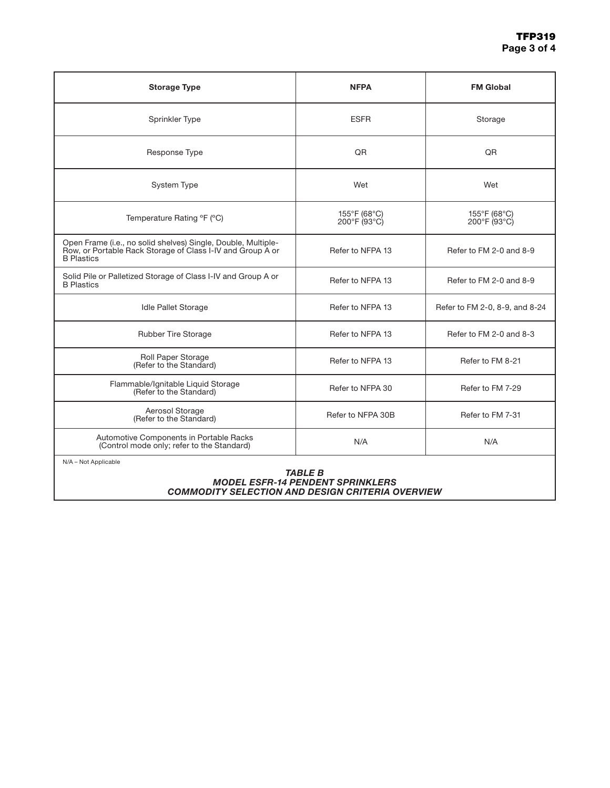| <b>Storage Type</b>                                                                                                                              | <b>NFPA</b>                                       | <b>FM Global</b>                                  |
|--------------------------------------------------------------------------------------------------------------------------------------------------|---------------------------------------------------|---------------------------------------------------|
| Sprinkler Type                                                                                                                                   | <b>ESFR</b>                                       | Storage                                           |
| Response Type                                                                                                                                    | QR                                                | QR                                                |
| System Type                                                                                                                                      | Wet                                               | Wet                                               |
| Temperature Rating °F (°C)                                                                                                                       | 155°F (68°C)<br>$200^{\circ}$ F (93 $^{\circ}$ C) | 155°F (68°C)<br>$200^{\circ}$ F (93 $^{\circ}$ C) |
| Open Frame (i.e., no solid shelves) Single, Double, Multiple-<br>Row, or Portable Rack Storage of Class I-IV and Group A or<br><b>B</b> Plastics | Refer to NFPA 13                                  | Refer to FM 2-0 and 8-9                           |
| Solid Pile or Palletized Storage of Class I-IV and Group A or<br><b>B</b> Plastics                                                               | Refer to NFPA 13                                  | Refer to FM 2-0 and 8-9                           |
| <b>Idle Pallet Storage</b>                                                                                                                       | Refer to NFPA 13                                  | Refer to FM 2-0, 8-9, and 8-24                    |
| <b>Rubber Tire Storage</b>                                                                                                                       | Refer to NFPA 13                                  | Refer to FM 2-0 and 8-3                           |
| Roll Paper Storage<br>(Refer to the Standard)                                                                                                    | Refer to NFPA 13                                  | Refer to FM 8-21                                  |
| Flammable/Ignitable Liquid Storage<br>(Refer to the Standard)                                                                                    | Refer to NFPA 30                                  | Refer to FM 7-29                                  |
| Aerosol Storage<br>(Refer to the Standard)                                                                                                       | Refer to NFPA 30B                                 | Refer to FM 7-31                                  |
| Automotive Components in Portable Racks<br>(Control mode only; refer to the Standard)                                                            | N/A                                               | N/A                                               |
| N/A - Not Applicable                                                                                                                             |                                                   |                                                   |

#### *TABLE B MODEL ESFR-14 PENDENT SPRINKLERS COMMODITY SELECTION AND DESIGN CRITERIA OVERVIEW*